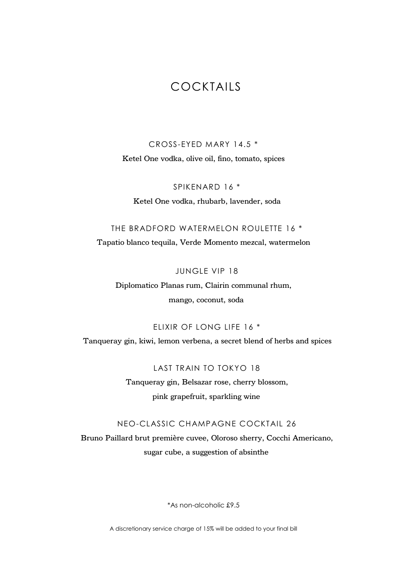# COCKTAILS

CROSS-EYED MARY 14.5 \* Ketel One vodka, olive oil, fino, tomato, spices

SPIKENARD 16 \* Ketel One vodka, rhubarb, lavender, soda

### THE BRADFORD WATERMELON ROULETTE 16 \*

Tapatio blanco tequila, Verde Momento mezcal, watermelon

JUNGLE VIP 18

Diplomatico Planas rum, Clairin communal rhum, mango, coconut, soda

ELIXIR OF LONG LIFE 16 \*

Tanqueray gin, kiwi, lemon verbena, a secret blend of herbs and spices

LAST TRAIN TO TOKYO 18 Tanqueray gin, Belsazar rose, cherry blossom, pink grapefruit, sparkling wine

### NEO-CLASSIC CHAMPAGNE COCKTAIL 26

Bruno Paillard brut première cuvee, Oloroso sherry, Cocchi Americano, sugar cube, a suggestion of absinthe

\*As non-alcoholic £9.5

A discretionary service charge of 15% will be added to your final bill